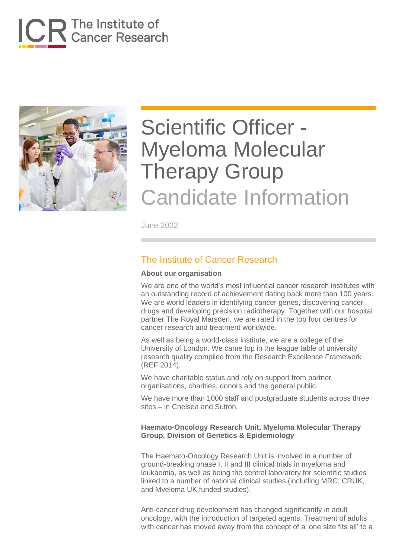



# Scientific Officer - Myeloma Molecular Therapy Group Candidate Information

June 2022

### The Institute of Cancer Research

#### **About our organisation**

We are one of the world's most influential cancer research institutes with an outstanding record of achievement dating back more than 100 years. We are world leaders in identifying cancer genes, discovering cancer drugs and developing precision radiotherapy. Together with our hospital partner The Royal Marsden, we are rated in the top four centres for cancer research and treatment worldwide.

As well as being a world-class institute, we are a college of the University of London. We came top in the league table of university research quality compiled from the Research Excellence Framework (REF 2014).

We have charitable status and rely on support from partner organisations, charities, donors and the general public.

We have more than 1000 staff and postgraduate students across three sites – in Chelsea and Sutton.

#### **Haemato-Oncology Research Unit, Myeloma Molecular Therapy Group, Division of Genetics & Epidemiology**

The Haemato-Oncology Research Unit is involved in a number of ground-breaking phase I, II and III clinical trials in myeloma and leukaemia, as well as being the central laboratory for scientific studies linked to a number of national clinical studies (including MRC, CRUK, and Myeloma UK funded studies).

Anti-cancer drug development has changed significantly in adult oncology, with the introduction of targeted agents. Treatment of adults with cancer has moved away from the concept of a 'one size fits all' to a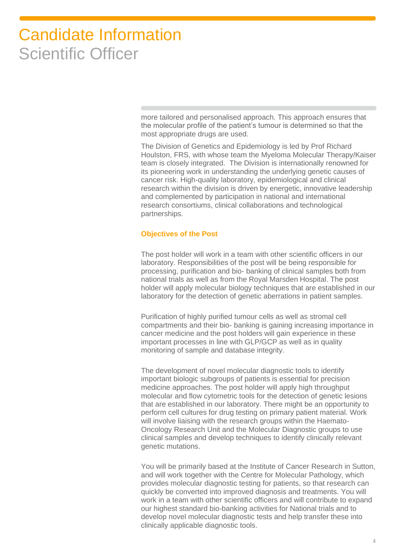more tailored and personalised approach. This approach ensures that the molecular profile of the patient's tumour is determined so that the most appropriate drugs are used.

The Division of Genetics and Epidemiology is led by Prof Richard Houlston, FRS, with whose team the Myeloma Molecular Therapy/Kaiser team is closely integrated. The Division is internationally renowned for its pioneering work in understanding the underlying genetic causes of cancer risk. High-quality laboratory, epidemiological and clinical research within the division is driven by energetic, innovative leadership and complemented by participation in national and international research consortiums, clinical collaborations and technological partnerships.

#### **Objectives of the Post**

The post holder will work in a team with other scientific officers in our laboratory. Responsibilities of the post will be being responsible for processing, purification and bio- banking of clinical samples both from national trials as well as from the Royal Marsden Hospital. The post holder will apply molecular biology techniques that are established in our laboratory for the detection of genetic aberrations in patient samples.

Purification of highly purified tumour cells as well as stromal cell compartments and their bio- banking is gaining increasing importance in cancer medicine and the post holders will gain experience in these important processes in line with GLP/GCP as well as in quality monitoring of sample and database integrity.

The development of novel molecular diagnostic tools to identify important biologic subgroups of patients is essential for precision medicine approaches. The post holder will apply high throughput molecular and flow cytometric tools for the detection of genetic lesions that are established in our laboratory. There might be an opportunity to perform cell cultures for drug testing on primary patient material. Work will involve liaising with the research groups within the Haemato-Oncology Research Unit and the Molecular Diagnostic groups to use clinical samples and develop techniques to identify clinically relevant genetic mutations.

You will be primarily based at the Institute of Cancer Research in Sutton, and will work together with the Centre for Molecular Pathology, which provides molecular diagnostic testing for patients, so that research can quickly be converted into improved diagnosis and treatments. You will work in a team with other scientific officers and will contribute to expand our highest standard bio-banking activities for National trials and to develop novel molecular diagnostic tests and help transfer these into clinically applicable diagnostic tools.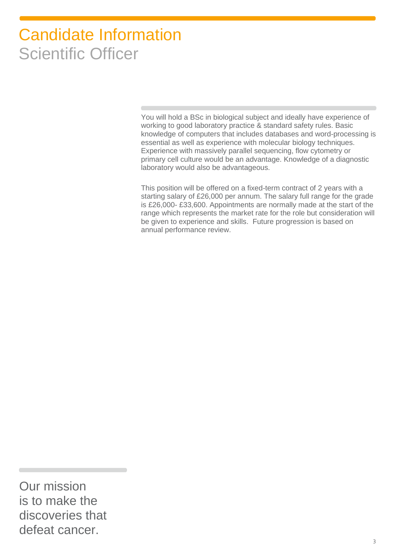You will hold a BSc in biological subject and ideally have experience of working to good laboratory practice & standard safety rules. Basic knowledge of computers that includes databases and word-processing is essential as well as experience with molecular biology techniques. Experience with massively parallel sequencing, flow cytometry or primary cell culture would be an advantage. Knowledge of a diagnostic laboratory would also be advantageous.

This position will be offered on a fixed-term contract of 2 years with a starting salary of £26,000 per annum. The salary full range for the grade is £26,000- £33,600. Appointments are normally made at the start of the range which represents the market rate for the role but consideration will be given to experience and skills. Future progression is based on annual performance review.

Our mission is to make the discoveries that defeat cancer.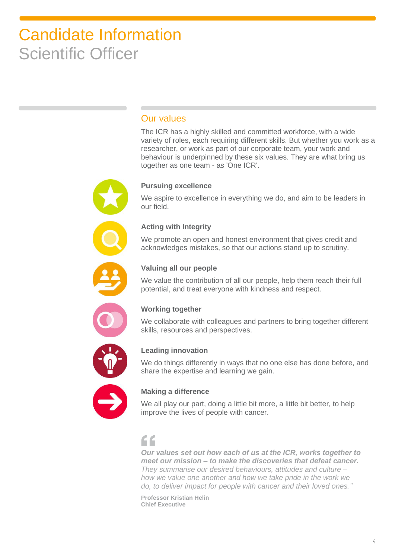### Our values

The ICR has a highly skilled and committed workforce, with a wide variety of roles, each requiring different skills. But whether you work as a researcher, or work as part of our corporate team, your work and behaviour is underpinned by these six values. They are what bring us together as one team - as 'One ICR'.

### **Pursuing excellence**

We aspire to excellence in everything we do, and aim to be leaders in our field.

#### **Acting with Integrity**

We promote an open and honest environment that gives credit and acknowledges mistakes, so that our actions stand up to scrutiny.



### **Valuing all our people**

We value the contribution of all our people, help them reach their full potential, and treat everyone with kindness and respect.



### **Working together**

We collaborate with colleagues and partners to bring together different skills, resources and perspectives.



### **Leading innovation**

We do things differently in ways that no one else has done before, and share the expertise and learning we gain.



### **Making a difference**

We all play our part, doing a little bit more, a little bit better, to help improve the lives of people with cancer.

# $\epsilon$

*Our values set out how each of us at the ICR, works together to meet our mission – to make the discoveries that defeat cancer. They summarise our desired behaviours, attitudes and culture – how we value one another and how we take pride in the work we do, to deliver impact for people with cancer and their loved ones."*

**Professor Kristian Helin Chief Executive**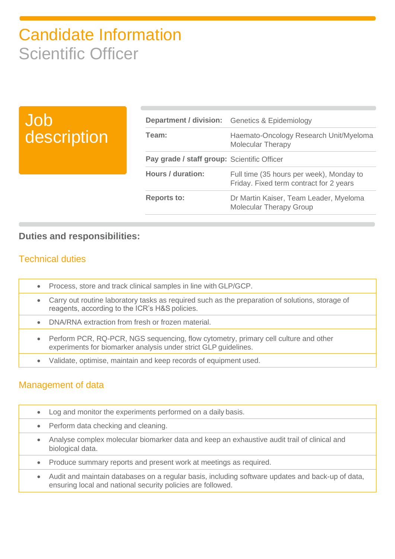# Job description

|                                             | <b>Department / division:</b> Genetics & Epidemiology                               |
|---------------------------------------------|-------------------------------------------------------------------------------------|
| Team:                                       | Haemato-Oncology Research Unit/Myeloma<br>Molecular Therapy                         |
| Pay grade / staff group: Scientific Officer |                                                                                     |
| <b>Hours / duration:</b>                    | Full time (35 hours per week), Monday to<br>Friday. Fixed term contract for 2 years |
| <b>Reports to:</b>                          | Dr Martin Kaiser, Team Leader, Myeloma<br><b>Molecular Therapy Group</b>            |

### **Duties and responsibilities:**

### Technical duties

- Process, store and track clinical samples in line with GLP/GCP.
- Carry out routine laboratory tasks as required such as the preparation of solutions, storage of reagents, according to the ICR's H&S policies.
- DNA/RNA extraction from fresh or frozen material.
	- Perform PCR, RQ-PCR, NGS sequencing, flow cytometry, primary cell culture and other experiments for biomarker analysis under strict GLP guidelines.
- Validate, optimise, maintain and keep records of equipment used.

### Management of data

- Log and monitor the experiments performed on a daily basis.
- Perform data checking and cleaning.
- Analyse complex molecular biomarker data and keep an exhaustive audit trail of clinical and biological data.
- Produce summary reports and present work at meetings as required.
- Audit and maintain databases on a regular basis, including software updates and back-up of data, ensuring local and national security policies are followed.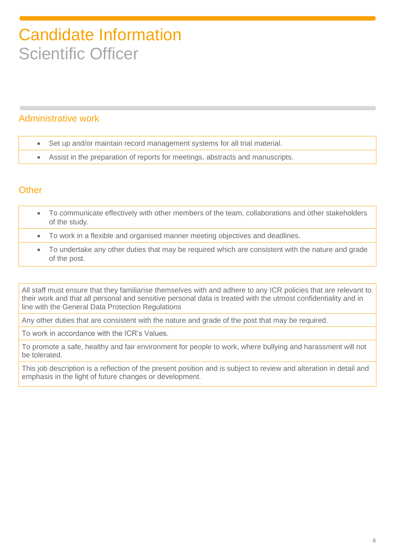### Administrative work

- Set up and/or maintain record management systems for all trial material.
- Assist in the preparation of reports for meetings, abstracts and manuscripts.

### **Other**

- To communicate effectively with other members of the team, collaborations and other stakeholders of the study.
- To work in a flexible and organised manner meeting objectives and deadlines.
- To undertake any other duties that may be required which are consistent with the nature and grade of the post.

All staff must ensure that they familiarise themselves with and adhere to any ICR policies that are relevant to their work and that all personal and sensitive personal data is treated with the utmost confidentiality and in line with the General Data Protection Regulations

Any other duties that are consistent with the nature and grade of the post that may be required.

To work in accordance with the ICR's Values.

To promote a safe, healthy and fair environment for people to work, where bullying and harassment will not be tolerated.

This job description is a reflection of the present position and is subject to review and alteration in detail and emphasis in the light of future changes or development.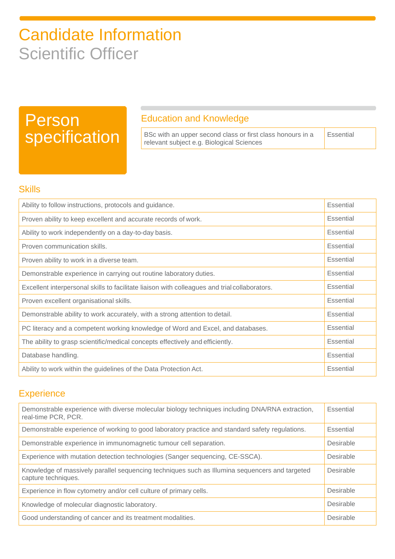# Person specification

### Education and Knowledge

BSc with an upper second class or first class honours in a relevant subject e.g. Biological Sciences **Essential** 

### **Skills**

| Ability to follow instructions, protocols and guidance.                                       |                  |
|-----------------------------------------------------------------------------------------------|------------------|
| Proven ability to keep excellent and accurate records of work.                                |                  |
| Ability to work independently on a day-to-day basis.                                          |                  |
| Proven communication skills.                                                                  |                  |
| Proven ability to work in a diverse team.                                                     |                  |
| Demonstrable experience in carrying out routine laboratory duties.                            | Essential        |
| Excellent interpersonal skills to facilitate liaison with colleagues and trial collaborators. | Essential        |
| Proven excellent organisational skills.                                                       |                  |
| Demonstrable ability to work accurately, with a strong attention to detail.                   |                  |
| PC literacy and a competent working knowledge of Word and Excel, and databases.               |                  |
| The ability to grasp scientific/medical concepts effectively and efficiently.                 | <b>Essential</b> |
| Database handling.                                                                            |                  |
| Ability to work within the guidelines of the Data Protection Act.                             |                  |

## **Experience**

| Demonstrable experience with diverse molecular biology techniques including DNA/RNA extraction,<br>real-time PCR, PCR. |           |
|------------------------------------------------------------------------------------------------------------------------|-----------|
| Demonstrable experience of working to good laboratory practice and standard safety regulations.                        | Essential |
| Demonstrable experience in immunomagnetic tumour cell separation.                                                      |           |
| Experience with mutation detection technologies (Sanger sequencing, CE-SSCA).                                          | Desirable |
| Knowledge of massively parallel sequencing techniques such as Illumina sequencers and targeted<br>capture techniques.  |           |
| Experience in flow cytometry and/or cell culture of primary cells.                                                     | Desirable |
| Knowledge of molecular diagnostic laboratory.                                                                          |           |
| Good understanding of cancer and its treatment modalities.                                                             |           |